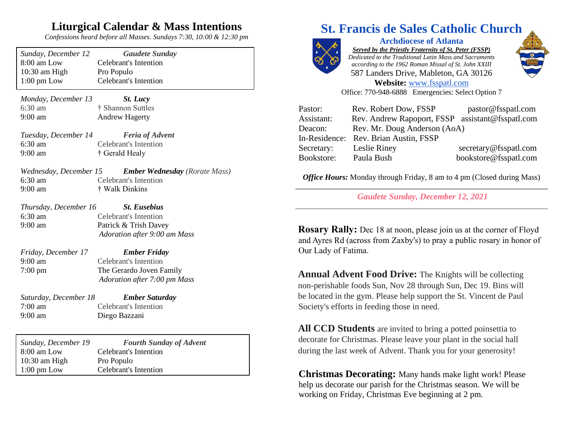### **Liturgical Calendar & Mass Intentions**

*Confessions heard before all Masses. Sundays 7:30, 10:00 & 12:30 pm*

| Sunday, December 12                            | <b>Gaudete Sunday</b>                |  |
|------------------------------------------------|--------------------------------------|--|
| 8:00 am Low                                    | <b>Celebrant's Intention</b>         |  |
| 10:30 am High                                  | Pro Populo                           |  |
| $1:00$ pm Low                                  | <b>Celebrant's Intention</b>         |  |
| Monday, December 13<br><b>St.</b> Lucy         |                                      |  |
| $6:30$ am                                      | † Shannon Suttles                    |  |
| 9:00 am                                        | <b>Andrew Hagerty</b>                |  |
| Tuesday, December 14                           | <b>Feria of Advent</b>               |  |
| 6:30 am                                        | <b>Celebrant's Intention</b>         |  |
| 9:00 am                                        | † Gerald Healy                       |  |
| Wednesday, December 15                         | <b>Ember Wednesday</b> (Rorate Mass) |  |
| 6:30 am                                        | <b>Celebrant's Intention</b>         |  |
| $9:00 \text{ am}$                              | † Walk Dinkins                       |  |
| Thursday, December 16                          | <b>St. Eusebius</b>                  |  |
| $6:30$ am                                      | <b>Celebrant's Intention</b>         |  |
| 9:00 am                                        | Patrick & Trish Davey                |  |
|                                                | Adoration after 9:00 am Mass         |  |
| Friday, December 17                            | <b>Ember Friday</b>                  |  |
| $9:00 \text{ am}$                              | <b>Celebrant's Intention</b>         |  |
| $7:00 \text{ pm}$                              | The Gerardo Joven Family             |  |
|                                                | Adoration after 7:00 pm Mass         |  |
| <b>Ember Saturday</b><br>Saturday, December 18 |                                      |  |
| $7:00$ am                                      | <b>Celebrant's Intention</b>         |  |
| $9:00$ am                                      | Diego Bazzani                        |  |
|                                                |                                      |  |
| Sunday, December 19                            | <b>Fourth Sunday of Advent</b>       |  |
| 8:00 am Low                                    | <b>Celebrant's Intention</b>         |  |
| 10:30 am High                                  | Pro Populo                           |  |
| $1:00 \text{ pm}$ Low                          | Celebrant's Intention                |  |

# **St. Francis de Sales Catholic Church**



**Archdiocese of Atlanta** *Served by the Priestly Fraternity of St. Peter (FSSP) Dedicated to the Traditional Latin Mass and Sacraments according to the 1962 Roman Missal of St. John XXIII* 587 Landers Drive, Mableton, GA 30126 **Website:** [www.fsspatl.com](http://www.fsspatl.com/)



Office: 770-948-6888 Emergencies: Select Option 7

| Pastor:    | Rev. Robert Dow, FSSP                            | pastor@fsspatl.com    |
|------------|--------------------------------------------------|-----------------------|
| Assistant: | Rev. Andrew Rapoport, FSSP assistant@fsspatl.com |                       |
| Deacon:    | Rev. Mr. Doug Anderson (AoA)                     |                       |
|            | In-Residence: Rev. Brian Austin, FSSP            |                       |
| Secretary: | Leslie Riney                                     | secretary@fsspatl.com |
| Bookstore: | Paula Bush                                       | bookstore@fsspatl.com |

*Office Hours:* Monday through Friday, 8 am to 4 pm (Closed during Mass)

*Gaudete Sunday, December 12, 2021*

**Rosary Rally:** Dec 18 at noon, please join us at the corner of Floyd and Ayres Rd (across from Zaxby's) to pray a public rosary in honor of Our Lady of Fatima.

**Annual Advent Food Drive:** The Knights will be collecting non-perishable foods Sun, Nov 28 through Sun, Dec 19. Bins will be located in the gym. Please help support the St. Vincent de Paul Society's efforts in feeding those in need.

**All CCD Students** are invited to bring a potted poinsettia to decorate for Christmas. Please leave your plant in the social hall during the last week of Advent. Thank you for your generosity!

**Christmas Decorating:** Many hands make light work! Please help us decorate our parish for the Christmas season. We will be working on Friday, Christmas Eve beginning at 2 pm.